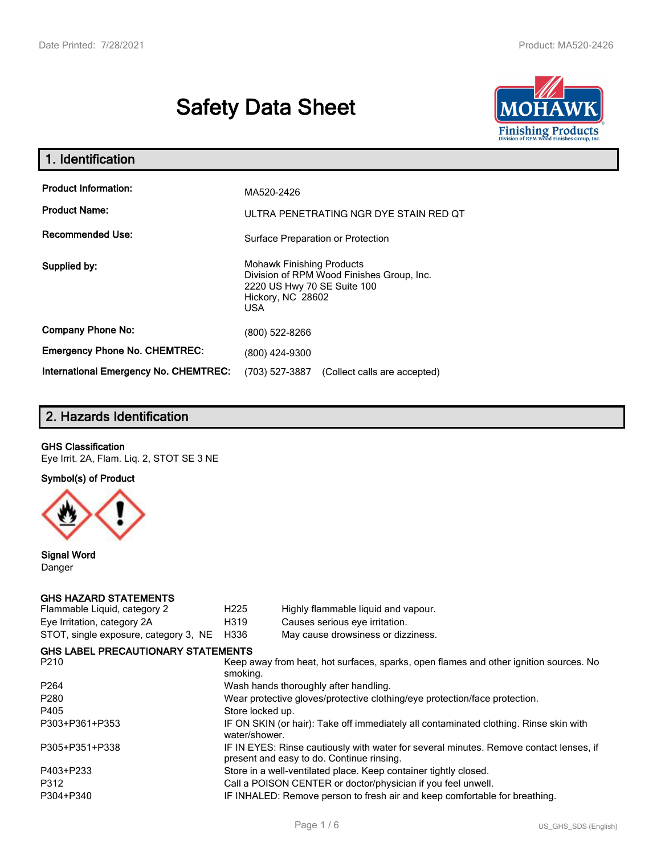# **Safety Data Sheet**



| 1. Identification                                   |                                                                                                                                                 |  |
|-----------------------------------------------------|-------------------------------------------------------------------------------------------------------------------------------------------------|--|
| <b>Product Information:</b><br><b>Product Name:</b> | MA520-2426<br>ULTRA PENETRATING NGR DYE STAIN RED QT                                                                                            |  |
| <b>Recommended Use:</b>                             | Surface Preparation or Protection                                                                                                               |  |
| Supplied by:                                        | <b>Mohawk Finishing Products</b><br>Division of RPM Wood Finishes Group, Inc.<br>2220 US Hwy 70 SE Suite 100<br>Hickory, NC 28602<br><b>USA</b> |  |
| <b>Company Phone No:</b>                            | (800) 522-8266                                                                                                                                  |  |
| <b>Emergency Phone No. CHEMTREC:</b>                | (800) 424-9300                                                                                                                                  |  |
| <b>International Emergency No. CHEMTREC:</b>        | (703) 527-3887<br>(Collect calls are accepted)                                                                                                  |  |

## **2. Hazards Identification**

### **GHS Classification**

Eye Irrit. 2A, Flam. Liq. 2, STOT SE 3 NE

**Symbol(s) of Product**



**Signal Word** Danger

#### **GHS HAZARD STATEMENTS**

| H <sub>225</sub> | Highly flammable liquid and vapour.                                                                                                 |
|------------------|-------------------------------------------------------------------------------------------------------------------------------------|
| H319             | Causes serious eye irritation.                                                                                                      |
| H336             | May cause drowsiness or dizziness.                                                                                                  |
|                  |                                                                                                                                     |
| smoking.         | Keep away from heat, hot surfaces, sparks, open flames and other ignition sources. No                                               |
|                  | Wash hands thoroughly after handling.                                                                                               |
|                  | Wear protective gloves/protective clothing/eye protection/face protection.                                                          |
| Store locked up. |                                                                                                                                     |
| water/shower.    | IF ON SKIN (or hair): Take off immediately all contaminated clothing. Rinse skin with                                               |
|                  | IF IN EYES: Rinse cautiously with water for several minutes. Remove contact lenses, if<br>present and easy to do. Continue rinsing. |
|                  | Store in a well-ventilated place. Keep container tightly closed.                                                                    |
|                  | Call a POISON CENTER or doctor/physician if you feel unwell.                                                                        |
|                  | IF INHALED: Remove person to fresh air and keep comfortable for breathing.                                                          |
|                  | <b>GHS LABEL PRECAUTIONARY STATEMENTS</b>                                                                                           |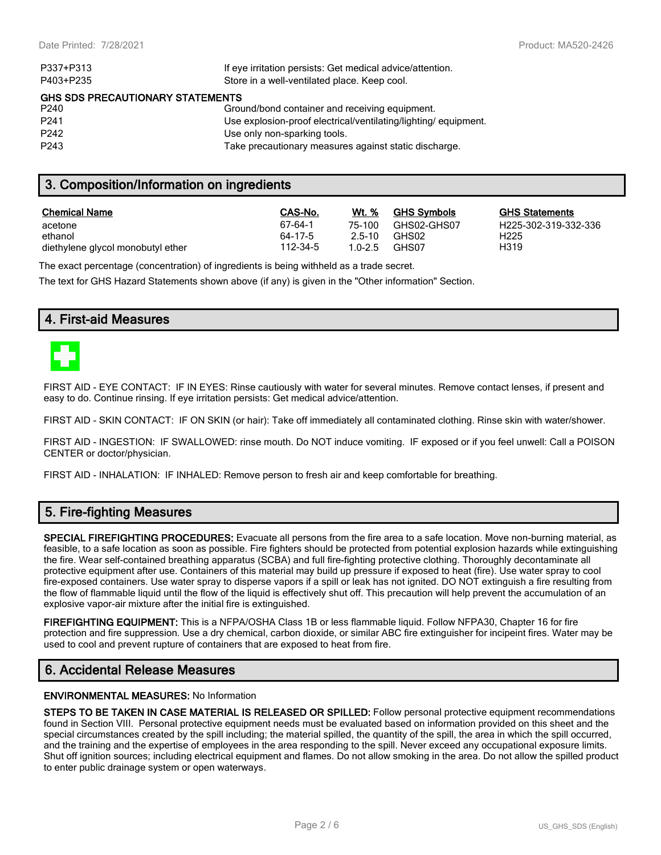| If eye irritation persists: Get medical advice/attention.      |
|----------------------------------------------------------------|
| Store in a well-ventilated place. Keep cool.                   |
| <b>GHS SDS PRECAUTIONARY STATEMENTS</b>                        |
| Ground/bond container and receiving equipment.                 |
| Use explosion-proof electrical/ventilating/lighting/equipment. |
| Use only non-sparking tools.                                   |
| Take precautionary measures against static discharge.          |
|                                                                |

## **3. Composition/Information on ingredients**

| <b>Chemical Name</b>              | CAS-No.  | <b>Wt.</b> % | <b>GHS Symbols</b> | GHS  |
|-----------------------------------|----------|--------------|--------------------|------|
| acetone                           | 67-64-1  | 75-100       | GHS02-GHS07        | H225 |
| ethanol                           | 64-17-5  | 2.5-10       | GHS02              | H225 |
| diethylene glycol monobutyl ether | 112-34-5 | $1.0 - 2.5$  | GHS07              | H319 |

**GHS Statements** H225-302-319-332-336

The exact percentage (concentration) of ingredients is being withheld as a trade secret.

The text for GHS Hazard Statements shown above (if any) is given in the "Other information" Section.

## **4. First-aid Measures**



FIRST AID - EYE CONTACT: IF IN EYES: Rinse cautiously with water for several minutes. Remove contact lenses, if present and easy to do. Continue rinsing. If eye irritation persists: Get medical advice/attention.

FIRST AID - SKIN CONTACT: IF ON SKIN (or hair): Take off immediately all contaminated clothing. Rinse skin with water/shower.

FIRST AID - INGESTION: IF SWALLOWED: rinse mouth. Do NOT induce vomiting. IF exposed or if you feel unwell: Call a POISON CENTER or doctor/physician.

FIRST AID - INHALATION: IF INHALED: Remove person to fresh air and keep comfortable for breathing.

## **5. Fire-fighting Measures**

**SPECIAL FIREFIGHTING PROCEDURES:** Evacuate all persons from the fire area to a safe location. Move non-burning material, as feasible, to a safe location as soon as possible. Fire fighters should be protected from potential explosion hazards while extinguishing the fire. Wear self-contained breathing apparatus (SCBA) and full fire-fighting protective clothing. Thoroughly decontaminate all protective equipment after use. Containers of this material may build up pressure if exposed to heat (fire). Use water spray to cool fire-exposed containers. Use water spray to disperse vapors if a spill or leak has not ignited. DO NOT extinguish a fire resulting from the flow of flammable liquid until the flow of the liquid is effectively shut off. This precaution will help prevent the accumulation of an explosive vapor-air mixture after the initial fire is extinguished.

**FIREFIGHTING EQUIPMENT:** This is a NFPA/OSHA Class 1B or less flammable liquid. Follow NFPA30, Chapter 16 for fire protection and fire suppression. Use a dry chemical, carbon dioxide, or similar ABC fire extinguisher for incipeint fires. Water may be used to cool and prevent rupture of containers that are exposed to heat from fire.

## **6. Accidental Release Measures**

#### **ENVIRONMENTAL MEASURES:** No Information

**STEPS TO BE TAKEN IN CASE MATERIAL IS RELEASED OR SPILLED:** Follow personal protective equipment recommendations found in Section VIII. Personal protective equipment needs must be evaluated based on information provided on this sheet and the special circumstances created by the spill including; the material spilled, the quantity of the spill, the area in which the spill occurred, and the training and the expertise of employees in the area responding to the spill. Never exceed any occupational exposure limits. Shut off ignition sources; including electrical equipment and flames. Do not allow smoking in the area. Do not allow the spilled product to enter public drainage system or open waterways.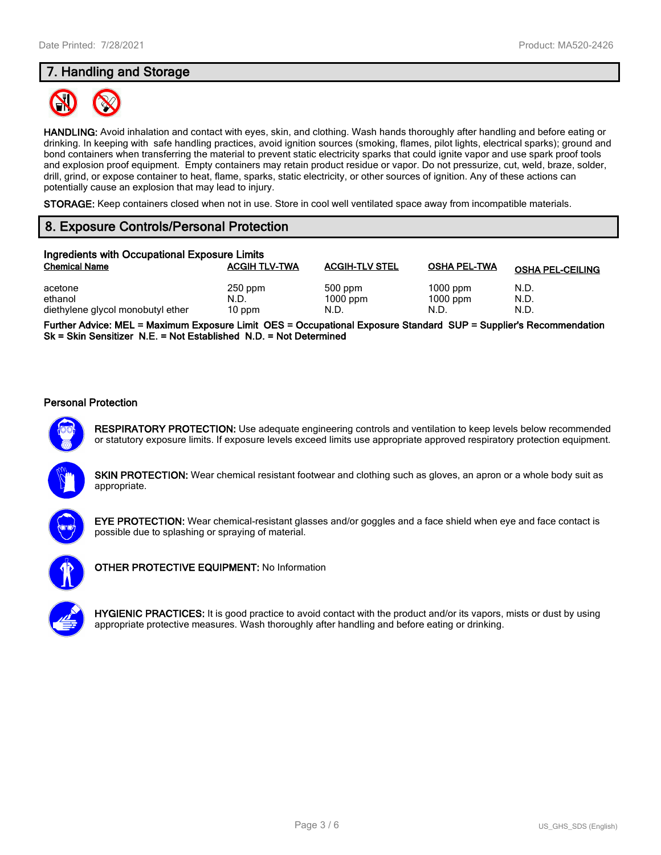## **7. Handling and Storage**



**HANDLING:** Avoid inhalation and contact with eyes, skin, and clothing. Wash hands thoroughly after handling and before eating or drinking. In keeping with safe handling practices, avoid ignition sources (smoking, flames, pilot lights, electrical sparks); ground and bond containers when transferring the material to prevent static electricity sparks that could ignite vapor and use spark proof tools and explosion proof equipment. Empty containers may retain product residue or vapor. Do not pressurize, cut, weld, braze, solder, drill, grind, or expose container to heat, flame, sparks, static electricity, or other sources of ignition. Any of these actions can potentially cause an explosion that may lead to injury.

**STORAGE:** Keep containers closed when not in use. Store in cool well ventilated space away from incompatible materials.

## **8. Exposure Controls/Personal Protection**

| Ingredients with Occupational Exposure Limits |                      |                       |                     |                         |  |
|-----------------------------------------------|----------------------|-----------------------|---------------------|-------------------------|--|
| <b>Chemical Name</b>                          | <b>ACGIH TLV-TWA</b> | <b>ACGIH-TLV STEL</b> | <b>OSHA PEL-TWA</b> | <b>OSHA PEL-CEILING</b> |  |
| acetone                                       | $250$ ppm            | 500 ppm               | $1000$ ppm          | N.D.                    |  |
| ethanol                                       | N.D.                 | $1000$ ppm            | $1000$ ppm          | N.D.                    |  |
| diethylene glycol monobutyl ether             | 10 ppm               | N.D.                  | N.D.                | N.D.                    |  |

**Further Advice: MEL = Maximum Exposure Limit OES = Occupational Exposure Standard SUP = Supplier's Recommendation Sk = Skin Sensitizer N.E. = Not Established N.D. = Not Determined**

#### **Personal Protection**



**RESPIRATORY PROTECTION:** Use adequate engineering controls and ventilation to keep levels below recommended or statutory exposure limits. If exposure levels exceed limits use appropriate approved respiratory protection equipment.

**SKIN PROTECTION:** Wear chemical resistant footwear and clothing such as gloves, an apron or a whole body suit as appropriate.



**EYE PROTECTION:** Wear chemical-resistant glasses and/or goggles and a face shield when eye and face contact is possible due to splashing or spraying of material.



**OTHER PROTECTIVE EQUIPMENT:** No Information

**HYGIENIC PRACTICES:** It is good practice to avoid contact with the product and/or its vapors, mists or dust by using appropriate protective measures. Wash thoroughly after handling and before eating or drinking.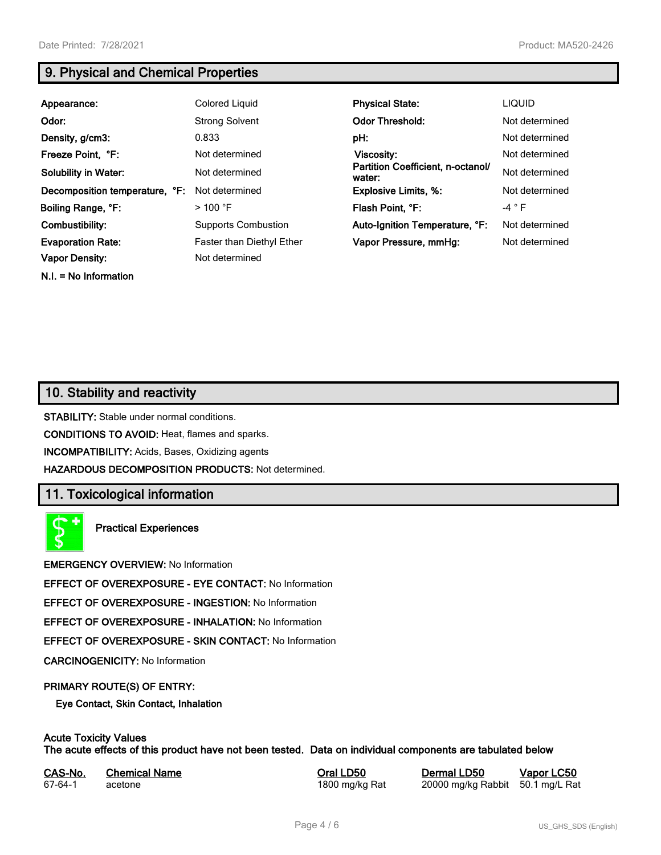**N.I. = No Information**

## **9. Physical and Chemical Properties**

| Appearance:                    | Colored Liquid             | <b>Physical State:</b>                      | <b>LIQUID</b>  |
|--------------------------------|----------------------------|---------------------------------------------|----------------|
| Odor:                          | <b>Strong Solvent</b>      | <b>Odor Threshold:</b>                      | Not determined |
| Density, g/cm3:                | 0.833                      | pH:                                         | Not determined |
| Freeze Point, °F:              | Not determined             | <b>Viscosity:</b>                           | Not determined |
| <b>Solubility in Water:</b>    | Not determined             | Partition Coefficient, n-octanol/<br>water: | Not determined |
| Decomposition temperature, °F: | Not determined             | <b>Explosive Limits, %:</b>                 | Not determined |
| Boiling Range, °F:             | $>100$ °F                  | Flash Point, °F:                            | $-4 ° F$       |
| Combustibility:                | <b>Supports Combustion</b> | Auto-Ignition Temperature, °F:              | Not determined |
| <b>Evaporation Rate:</b>       | Faster than Diethyl Ether  | Vapor Pressure, mmHg:                       | Not determined |
| <b>Vapor Density:</b>          | Not determined             |                                             |                |

## **10. Stability and reactivity**

**STABILITY:** Stable under normal conditions.

**CONDITIONS TO AVOID:** Heat, flames and sparks.

**INCOMPATIBILITY:** Acids, Bases, Oxidizing agents

**HAZARDOUS DECOMPOSITION PRODUCTS:** Not determined.

## **11. Toxicological information**

**Practical Experiences**

**EMERGENCY OVERVIEW:** No Information

**EFFECT OF OVEREXPOSURE - EYE CONTACT:** No Information

**EFFECT OF OVEREXPOSURE - INGESTION:** No Information

**EFFECT OF OVEREXPOSURE - INHALATION:** No Information

**EFFECT OF OVEREXPOSURE - SKIN CONTACT:** No Information

**CARCINOGENICITY:** No Information

#### **PRIMARY ROUTE(S) OF ENTRY:**

**Eye Contact, Skin Contact, Inhalation**

## **Acute Toxicity Values**

**The acute effects of this product have not been tested. Data on individual components are tabulated below**

| CAS-No. | <b>Chemical Name</b> |
|---------|----------------------|
| 67-64-1 | acetone              |

**Casary Chemical Chemical LD50 Chemical LD50 Vapor LC50** 1800 mg/kg Rat 20000 mg/kg Rabbit 50.1 mg/L Rat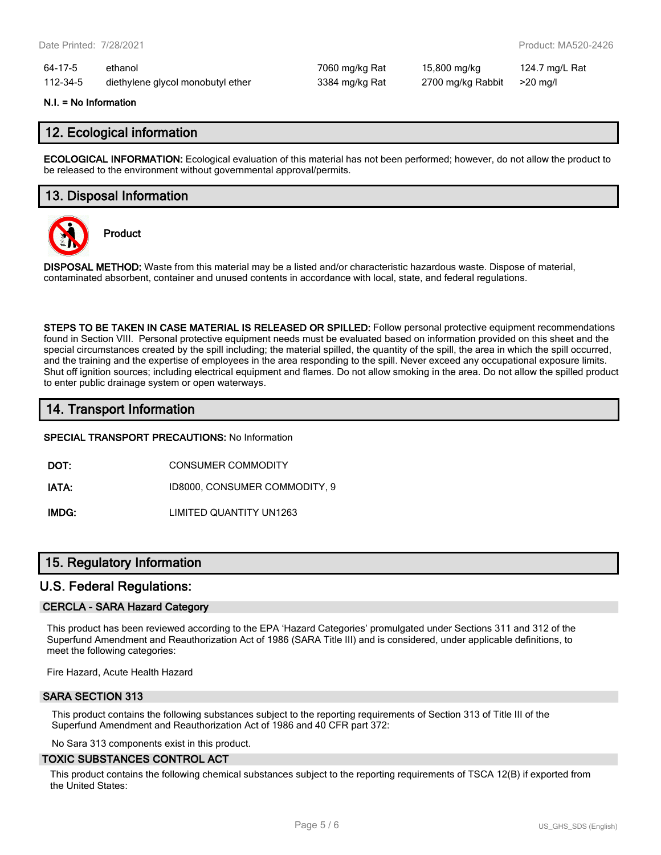| 64-17-5  | ethanol                           |
|----------|-----------------------------------|
| 112-34-5 | diethylene glycol monobutyl ether |

7060 mg/kg Rat 15,800 mg/kg 124.7 mg/L Rat 112-3384 mg/kg Rat 2700 mg/kg Rabbit >20 mg/l

#### **N.I. = No Information**

## **12. Ecological information**

**ECOLOGICAL INFORMATION:** Ecological evaluation of this material has not been performed; however, do not allow the product to be released to the environment without governmental approval/permits.

## **13. Disposal Information**



**Product**

**DISPOSAL METHOD:** Waste from this material may be a listed and/or characteristic hazardous waste. Dispose of material, contaminated absorbent, container and unused contents in accordance with local, state, and federal regulations.

**STEPS TO BE TAKEN IN CASE MATERIAL IS RELEASED OR SPILLED:** Follow personal protective equipment recommendations found in Section VIII. Personal protective equipment needs must be evaluated based on information provided on this sheet and the special circumstances created by the spill including; the material spilled, the quantity of the spill, the area in which the spill occurred, and the training and the expertise of employees in the area responding to the spill. Never exceed any occupational exposure limits. Shut off ignition sources; including electrical equipment and flames. Do not allow smoking in the area. Do not allow the spilled product to enter public drainage system or open waterways.

## **14. Transport Information**

**SPECIAL TRANSPORT PRECAUTIONS:** No Information

**DOT:** CONSUMER COMMODITY

**IATA:** ID8000, CONSUMER COMMODITY, 9

**IMDG:** LIMITED QUANTITY UN1263

## **15. Regulatory Information**

## **U.S. Federal Regulations:**

#### **CERCLA - SARA Hazard Category**

This product has been reviewed according to the EPA 'Hazard Categories' promulgated under Sections 311 and 312 of the Superfund Amendment and Reauthorization Act of 1986 (SARA Title III) and is considered, under applicable definitions, to meet the following categories:

Fire Hazard, Acute Health Hazard

#### **SARA SECTION 313**

This product contains the following substances subject to the reporting requirements of Section 313 of Title III of the Superfund Amendment and Reauthorization Act of 1986 and 40 CFR part 372:

No Sara 313 components exist in this product.

#### **TOXIC SUBSTANCES CONTROL ACT**

This product contains the following chemical substances subject to the reporting requirements of TSCA 12(B) if exported from the United States: